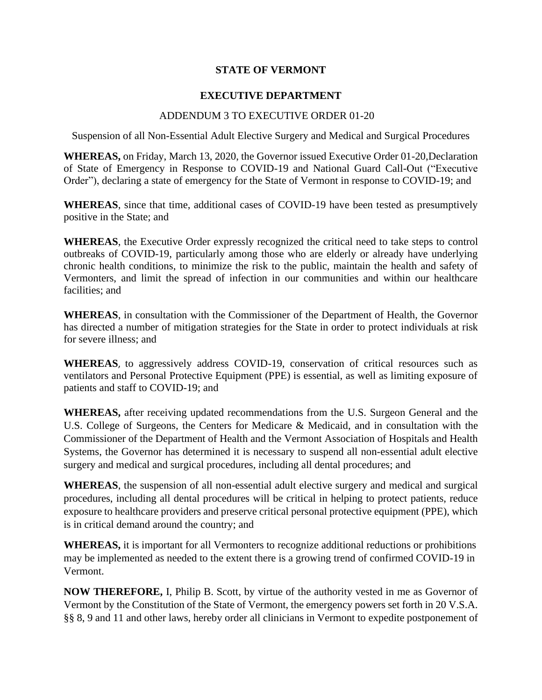## **STATE OF VERMONT**

## **EXECUTIVE DEPARTMENT**

## ADDENDUM 3 TO EXECUTIVE ORDER 01-20

Suspension of all Non-Essential Adult Elective Surgery and Medical and Surgical Procedures

**WHEREAS,** on Friday, March 13, 2020, the Governor issued Executive Order 01-20,Declaration of State of Emergency in Response to COVID-19 and National Guard Call-Out ("Executive Order"), declaring a state of emergency for the State of Vermont in response to COVID-19; and

**WHEREAS**, since that time, additional cases of COVID-19 have been tested as presumptively positive in the State; and

**WHEREAS**, the Executive Order expressly recognized the critical need to take steps to control outbreaks of COVID-19, particularly among those who are elderly or already have underlying chronic health conditions, to minimize the risk to the public, maintain the health and safety of Vermonters, and limit the spread of infection in our communities and within our healthcare facilities; and

**WHEREAS**, in consultation with the Commissioner of the Department of Health, the Governor has directed a number of mitigation strategies for the State in order to protect individuals at risk for severe illness; and

**WHEREAS**, to aggressively address COVID-19, conservation of critical resources such as ventilators and Personal Protective Equipment (PPE) is essential, as well as limiting exposure of patients and staff to COVID-19; and

**WHEREAS,** after receiving updated recommendations from the U.S. Surgeon General and the U.S. College of Surgeons, the Centers for Medicare & Medicaid, and in consultation with the Commissioner of the Department of Health and the Vermont Association of Hospitals and Health Systems, the Governor has determined it is necessary to suspend all non-essential adult elective surgery and medical and surgical procedures, including all dental procedures; and

**WHEREAS**, the suspension of all non-essential adult elective surgery and medical and surgical procedures, including all dental procedures will be critical in helping to protect patients, reduce exposure to healthcare providers and preserve critical personal protective equipment (PPE), which is in critical demand around the country; and

**WHEREAS,** it is important for all Vermonters to recognize additional reductions or prohibitions may be implemented as needed to the extent there is a growing trend of confirmed COVID-19 in Vermont.

**NOW THEREFORE,** I, Philip B. Scott, by virtue of the authority vested in me as Governor of Vermont by the Constitution of the State of Vermont, the emergency powers set forth in 20 V.S.A. §§ 8, 9 and 11 and other laws, hereby order all clinicians in Vermont to expedite postponement of